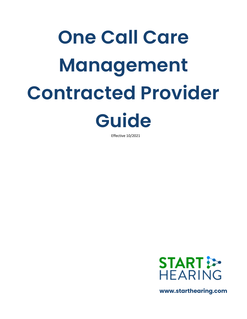# **One Call Care Management Contracted Provider Guide**

Effective 10/2021



**www.starthearing.com**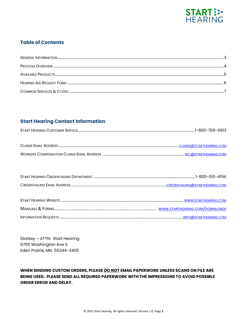

### **Table of Contents**

# **Start Hearing Contact Information**

| $\mathbf{C}$<br>אואוי<br>,,,,, |  |
|--------------------------------|--|
|                                |  |

| <b>CLAIMS EMAIL ADDRESS</b>                      | CLAIMS@STARTHEARING.COM |
|--------------------------------------------------|-------------------------|
| <b>WORKERS COMPENSATION CLAIMS EMAIL ADDRESS</b> | WC@STARTHEARING.COM     |

| START HEARING CREDENTIALING DEPARTMENT |  |
|----------------------------------------|--|
| CREDENTIALING EMAIL AD                 |  |

Starkey - ATTN: Start Hearing 6700 Washington Ave S Eden Prairie, MN 55344-3405

WHEN SENDING CUSTOM ORDERS, PLEASE DO NOT EMAIL PAPERWORK UNLESS SCANS ON FILE ARE BEING USED. PLEASE SEND ALL REQUIRED PAPERWORK WITH THE IMPRESSIONS TO AVOID POSSIBLE **ORDER ERROR AND DELAY.**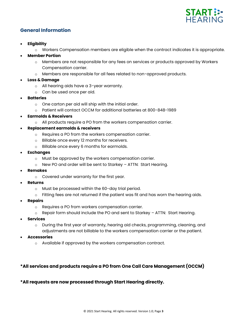

### **General Information**

- **Eligibility**
	- o Workers Compensation members are eligible when the contract indicates it is appropriate.
- **Member Portion**
	- o Members are not responsible for any fees on services or products approved by Workers Compensation carrier.
	- o Members are responsible for all fees related to non-approved products.
- **Loss & Damage**
	- o All hearing aids have a 3-year warranty.
	- o Can be used once per aid.
- **Batteries**
	- o One carton per aid will ship with the initial order.
	- o Patient will contact OCCM for additional batteries at 800-848-1989
- **Earmolds & Receivers**
	- o All products require a PO from the workers compensation carrier.
- **Replacement earmolds & receivers**
	- o Requires a PO from the workers compensation carrier.
	- o Billable once every 12 months for receivers.
	- o Billable once every 6 months for earmolds.
- **Exchanges**
	- o Must be approved by the workers compensation carrier.
	- o New PO and order will be sent to Starkey ATTN: Start Hearing.
- **Remakes**
	- o Covered under warranty for the first year.
- **Returns**
	- o Must be processed within the 60-day trial period.
	- $\circ$  Fitting fees are not returned if the patient was fit and has worn the hearing aids.
- **Repairs**
	- o Requires a PO from workers compensation carrier.
	- o Repair form should include the PO and sent to Starkey ATTN: Start Hearing.
- **Services**
	- o During the first year of warranty, hearing aid checks, programming, cleaning, and adjustments are not billable to the workers compensation carrier or the patient.
- **Accessories**
	- o Available if approved by the workers compensation contract.

### **\*All services and products require a PO from One Call Care Management (OCCM)**

**\*All requests are now processed through Start Hearing directly.**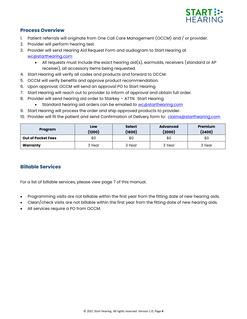

### **Process Overview**

- 1. Patient referrals will originate from One Call Care Management (OCCM) and / or provider.
- 2. Provider will perform hearing test.
- 3. Provider will send Hearing Aid Request Form and audiogram to Start Hearing at [wc@starthearing.com](mailto:wc@starthearing.com)
	- All requests must include the exact hearing aid(s), earmolds, receivers (standard or AP receiver), all accessory items being requested.
- 4. Start Hearing will verify all codes and products and forward to OCCM.
- 5. OCCM will verify benefits and approve product recommendation.
- 6. Upon approval, OCCM will send an approval PO to Start Hearing.
- 7. Start Hearing will reach out to provider to inform of approval and obtain full order.
- 8. Provider will send hearing aid order to Starkey ATTN: Start Hearing
	- Standard hearing aid orders can be emailed to [wc@starthearing.com](mailto:wc@starthearing.com)
- 9. Start Hearing will process the order and ship approved products to provider.
- 10. Provider will fit the patient and send Confirmation of Delivery form to: [claims@starthearing.com](mailto:claims@starthearing.com)

| Program                   | Low<br>(1200) | <b>Select</b><br>(1600) | <b>Advanced</b><br>(2000) | <b>Premium</b><br>(2400) |
|---------------------------|---------------|-------------------------|---------------------------|--------------------------|
| <b>Out of Pocket Fees</b> | \$0           | \$0                     | \$0                       | \$0                      |
| Warranty                  | 3 Year        | 3 Year                  | 3 Year                    | 3 Year                   |

## **Billable Services**

For a list of billable services, please view page 7 of this manual.

- Programming visits are not billable within the first year from the fitting date of new hearing aids.
- Clean/check visits are not billable within the first year from the fitting date of new hearing aids.
- All services require a PO from OCCM.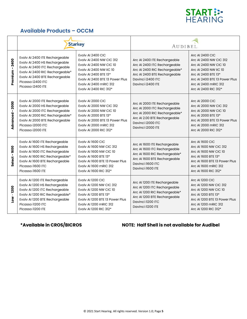

## **Available Products – OCCM**

|                       |                                                                                                                                                                                                                  | <b>Starkey</b>                                                                                                                                                                                                                           | AUDIBEL.                                                                                                                                                                |                                                                                                                                                                                                            |
|-----------------------|------------------------------------------------------------------------------------------------------------------------------------------------------------------------------------------------------------------|------------------------------------------------------------------------------------------------------------------------------------------------------------------------------------------------------------------------------------------|-------------------------------------------------------------------------------------------------------------------------------------------------------------------------|------------------------------------------------------------------------------------------------------------------------------------------------------------------------------------------------------------|
| $-2400$<br>Premium    | Evolv AI 2400 ITE Rechargeable<br>Evolv AI 2400 HS Rechargeable<br>Evolv AI 2400 ITC Rechargeable<br>Evolv Al 2400 RIC Rechargeable*<br>Evolv AI 2400 BTE Rechargeable<br>Picasso i2400 ITC<br>Picasso i2400 ITE | Evolv AI 2400 CIC<br><b>Evolv AI 2400 NW CIC 312</b><br><b>Evolv AI 2400 NW CIC 10</b><br><b>Evolv AI 2400 NW IIC 10</b><br>Evolv AI 2400 BTE 13*<br>Evoly AI 2400 BTE 13 Power Plus<br>Evolv AI 2400 mRIC 312<br>Evolv AI 2400 RIC 312* | Arc AI 2400 ITE Rechargeable<br>Arc Al 2400 ITC Rechargeable<br>Arc Al 2400 RIC Rechargeable*<br>Arc Al 2400 BTE Rechargeable<br>Davinci i2400 ITC<br>Davinci i2400 ITE | <b>Arc AI 2400 CIC</b><br>Arc AI 2400 NW CIC 312<br>Arc AI 2400 NW CIC 10<br>Arc AI 2400 NW IIC 10<br>Arc AI 2400 BTE 13*<br>Arc AI 2400 BTE 13 Power Plus<br>Arc AI 2400 mRIC 312<br>Arc AI 2400 RIC 312* |
| $-2000$<br>Advanced   | Evolv AI 2000 ITE Rechargeable<br>Evolv AI 2000 HS Rechargeable<br>Evolv AI 2000 ITC Rechargeable<br>Evolv AI 2000 RIC Rechargeable*<br>Evolv AI 2000 BTE Rechargeable<br>Picasso i2000 ITC<br>Picasso i2000 ITE | Evolv AI 2000 CIC<br><b>Evolv AI 2000 NW CIC 312</b><br><b>Evolv AI 2000 NW CIC 10</b><br>Evolv AI 2000 BTE 13*<br>Evoly AI 2000 BTE 13 Power Plus<br>Evolv AI 2000 mRIC 312<br>Evolv AI 2000 RIC 312*                                   | Arc AI 2000 ITE Rechargeable<br>Arc AI 2000 ITC Rechargeable<br>Arc Al 2000 RIC Rechargeable*<br>Arc Al 2.00 BTE Rechargeable<br>Davinci i2000 ITC<br>Davinci i2000 ITE | Arc AI 2000 CIC<br>Arc AI 2000 NW CIC 312<br>Arc AI 2000 NW CIC 10<br>Arc AI 2000 BTE 13*<br>Arc AI 2000 BTE 13 Power Plus<br>Arc AI 2000 mRIC 312<br>Arc AI 2000 RIC 312*                                 |
| $-1600$<br>Select     | Evolv AI 1600 ITE Rechargeable<br>Evolv AI 1600 HS Rechargeable<br>Evolv AI 1600 ITC Rechargeable<br>Evolv AI 1600 RIC Rechargeable*<br>Evolv AI 1600 BTE Rechargeable<br>Picasso i1600 ITC<br>Picasso i1600 ITE | Evolv AI 1600 CIC<br>Evolv AI 1600 NW CIC 312<br><b>Evolv AI 1600 NW CIC 10</b><br>Evoly AI 1600 BTE 13*<br>Evoly AI 1600 BTE 13 Power Plus<br>Evolv AI 1600 mRIC 312<br>Evolv AI 1600 RIC 312*                                          | Arc AI 1600 ITE Rechargeable<br>Arc AI 1600 ITC Rechargeable<br>Arc AI 1600 RIC Rechargeable*<br>Arc AI 1600 BTE Rechargeable<br>Davinci i1600 ITC<br>Davinci i1600 ITE | <b>Arc AI 1600 CIC</b><br>Arc AI 1600 NW CIC 312<br>Arc AI 1600 NW CIC 10<br>Arc AI 1600 BTE 13*<br>Arc AI 1600 BTE 13 Power Plus<br>Arc AI 1600 mRIC 312<br>Arc AI 1600 RIC 312*                          |
| $-1200$<br><b>No7</b> | Evolv AI 1200 ITE Rechargeable<br>Evolv AI 1200 HS Rechargeable<br>Evolv AI 1200 ITC Rechargeable<br>Evolv AI 1200 RIC Rechargeable*<br>Evolv AI 1200 BTE Rechargeable<br>Picasso il200 ITC<br>Picasso il200 ITE | Evolv AI 1200 CIC<br><b>Evolv AI 1200 NW CIC 312</b><br><b>Evolv AI 1200 NW CIC 10</b><br>Evolv AI 1200 BTE 13*<br>Evoly AI 1200 BTE 13 Power Plus<br>Evoly AI 1200 mRIC 312<br>Evolv AI 1200 RIC 312*                                   | Arc AI 1200 ITE Rechargeable<br>Arc AI 1200 ITC Rechargeable<br>Arc AI 1200 RIC Rechargeable*<br>Arc Al 1200 BTE Rechargeable<br>Davinci i1200 ITC<br>Davinci il200 ITE | Arc AI 1200 CIC<br>Arc AI 1200 NW CIC 312<br>Arc AI 1200 NW CIC 10<br>Arc AI 1200 BTE 13*<br>Arc AI 1200 BTE 13 Power Plus<br>Arc AI 1200 mRIC 312<br>Arc AI 1200 RIC 312*                                 |

# **\*Available in CROS/BICROS NOTE: Half Shell is not available for Audibel**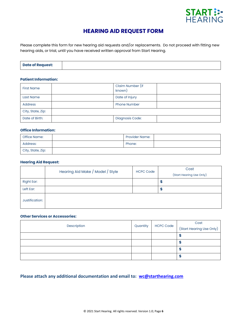

# **HEARING AID REQUEST FORM**

Please complete this form for new hearing aid requests and/or replacements. Do not proceed with fitting new hearing aids, or trial, until you have received written approval from Start Hearing.

| <b>Date of Request:</b> |  |
|-------------------------|--|
|                         |  |

### **Patient Information:**

| <b>First Name</b> |                | Claim Number (if<br>known) |  |
|-------------------|----------------|----------------------------|--|
| Last Name         | Date of Injury |                            |  |
| <b>Address</b>    |                | <b>Phone Number</b>        |  |
| City, State, Zip: |                |                            |  |
| Date of Birth:    |                | Diagnosis Code:            |  |

### **Office Information:**

| Office Name:      | <b>Provider Name:</b> |  |
|-------------------|-----------------------|--|
| Address:          | Phone:                |  |
| City, State, Zip: |                       |  |

### **Hearing Aid Request:**

|                | Hearing Aid Make / Model / Style | <b>HCPC Code</b> | Cost<br>(Start Hearing Use Only) |
|----------------|----------------------------------|------------------|----------------------------------|
| Right Ear:     |                                  |                  | ÷                                |
| Left Ear:      |                                  |                  |                                  |
| Justification: |                                  |                  |                                  |

### **Other Services or Accessories:**

| Description | Quantity | <b>HCPC Code</b> | Cost<br>(Start Hearing Use Only) |
|-------------|----------|------------------|----------------------------------|
|             |          |                  |                                  |
|             |          |                  |                                  |
|             |          |                  |                                  |
|             |          |                  |                                  |

**Please attach any additional documentation and email to: [wc@starthearing.com](mailto:wc@starthearing.com)**